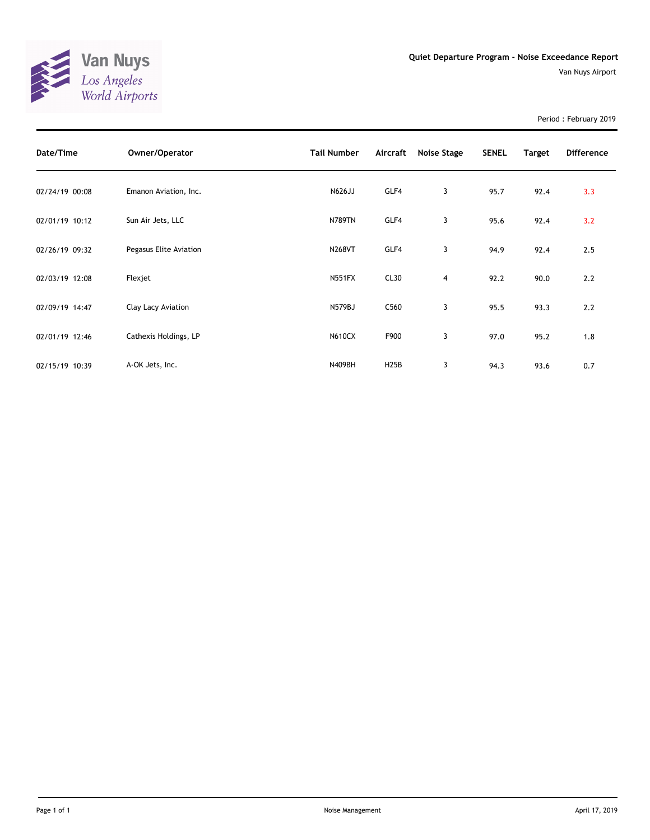

Period : February 2019

| Date/Time      | Owner/Operator         | <b>Tail Number</b> | Aircraft         | <b>Noise Stage</b> | <b>SENEL</b> | <b>Target</b> | <b>Difference</b> |
|----------------|------------------------|--------------------|------------------|--------------------|--------------|---------------|-------------------|
| 02/24/19 00:08 | Emanon Aviation, Inc.  | N626JJ             | GLF4             | 3                  | 95.7         | 92.4          | 3.3               |
| 02/01/19 10:12 | Sun Air Jets, LLC      | <b>N789TN</b>      | GLF4             | 3                  | 95.6         | 92.4          | 3.2               |
| 02/26/19 09:32 | Pegasus Elite Aviation | <b>N268VT</b>      | GLF4             | 3                  | 94.9         | 92.4          | 2.5               |
| 02/03/19 12:08 | Flexjet                | <b>N551FX</b>      | CL30             | 4                  | 92.2         | 90.0          | 2.2               |
| 02/09/19 14:47 | Clay Lacy Aviation     | N579BJ             | C <sub>560</sub> | 3                  | 95.5         | 93.3          | 2.2               |
| 02/01/19 12:46 | Cathexis Holdings, LP  | <b>N610CX</b>      | F900             | 3                  | 97.0         | 95.2          | 1.8               |
| 02/15/19 10:39 | A-OK Jets, Inc.        | N409BH             | <b>H25B</b>      | 3                  | 94.3         | 93.6          | 0.7               |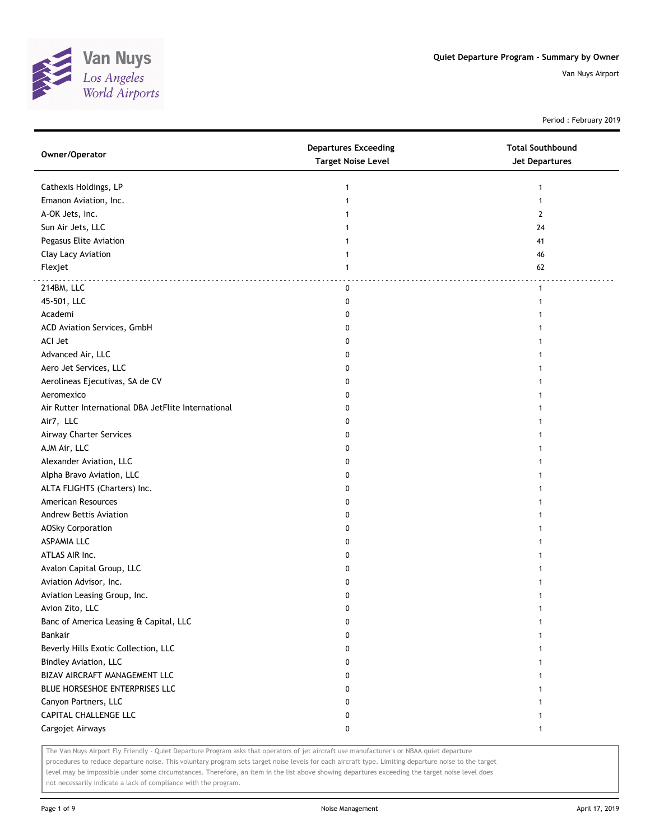

Period : February 2019

| Owner/Operator                                      | <b>Departures Exceeding</b><br><b>Target Noise Level</b> | <b>Total Southbound</b><br><b>Jet Departures</b> |
|-----------------------------------------------------|----------------------------------------------------------|--------------------------------------------------|
| Cathexis Holdings, LP                               | 1                                                        | 1                                                |
| Emanon Aviation, Inc.                               | $\mathbf{1}$                                             | 1                                                |
| A-OK Jets, Inc.                                     | 1                                                        | 2                                                |
| Sun Air Jets, LLC                                   | 1                                                        | 24                                               |
| Pegasus Elite Aviation                              |                                                          | 41                                               |
| Clay Lacy Aviation                                  | 1                                                        | 46                                               |
| Flexjet                                             | $\mathbf{1}$                                             | 62                                               |
| 214BM, LLC                                          | 0                                                        | $\mathbf{1}$                                     |
| 45-501, LLC                                         | 0                                                        | 1                                                |
| Academi                                             | 0                                                        | 1                                                |
| ACD Aviation Services, GmbH                         | 0                                                        |                                                  |
| ACI Jet                                             | 0                                                        |                                                  |
| Advanced Air, LLC                                   | 0                                                        |                                                  |
| Aero Jet Services, LLC                              | 0                                                        |                                                  |
| Aerolineas Ejecutivas, SA de CV                     | 0                                                        |                                                  |
| Aeromexico                                          | 0                                                        |                                                  |
| Air Rutter International DBA JetFlite International | 0                                                        |                                                  |
| Air7, LLC                                           | 0                                                        |                                                  |
| <b>Airway Charter Services</b>                      | 0                                                        |                                                  |
| AJM Air, LLC                                        | 0                                                        |                                                  |
| Alexander Aviation, LLC                             | 0                                                        |                                                  |
| Alpha Bravo Aviation, LLC                           | 0                                                        |                                                  |
| ALTA FLIGHTS (Charters) Inc.                        | 0                                                        |                                                  |
| American Resources                                  | 0                                                        |                                                  |
| Andrew Bettis Aviation                              | 0                                                        |                                                  |
| AOSky Corporation                                   | 0                                                        |                                                  |
| <b>ASPAMIA LLC</b>                                  | 0                                                        |                                                  |
| ATLAS AIR Inc.                                      | 0                                                        |                                                  |
| Avalon Capital Group, LLC                           | 0                                                        |                                                  |
| Aviation Advisor, Inc.                              | 0                                                        |                                                  |
| Aviation Leasing Group, Inc.                        | 0                                                        |                                                  |
| Avion Zito, LLC                                     | 0                                                        | 1                                                |
| Banc of America Leasing & Capital, LLC              | 0                                                        | 1                                                |
| Bankair                                             | 0                                                        |                                                  |
| Beverly Hills Exotic Collection, LLC                | 0                                                        |                                                  |
| Bindley Aviation, LLC                               | 0                                                        |                                                  |
| BIZAV AIRCRAFT MANAGEMENT LLC                       | 0                                                        |                                                  |
| BLUE HORSESHOE ENTERPRISES LLC                      | 0                                                        |                                                  |
| Canyon Partners, LLC                                | 0                                                        |                                                  |
| CAPITAL CHALLENGE LLC                               | 0                                                        |                                                  |
| Cargojet Airways                                    | 0                                                        | 1                                                |

The Van Nuys Airport Fly Friendly - Quiet Departure Program asks that operators of jet aircraft use manufacturer's or NBAA quiet departure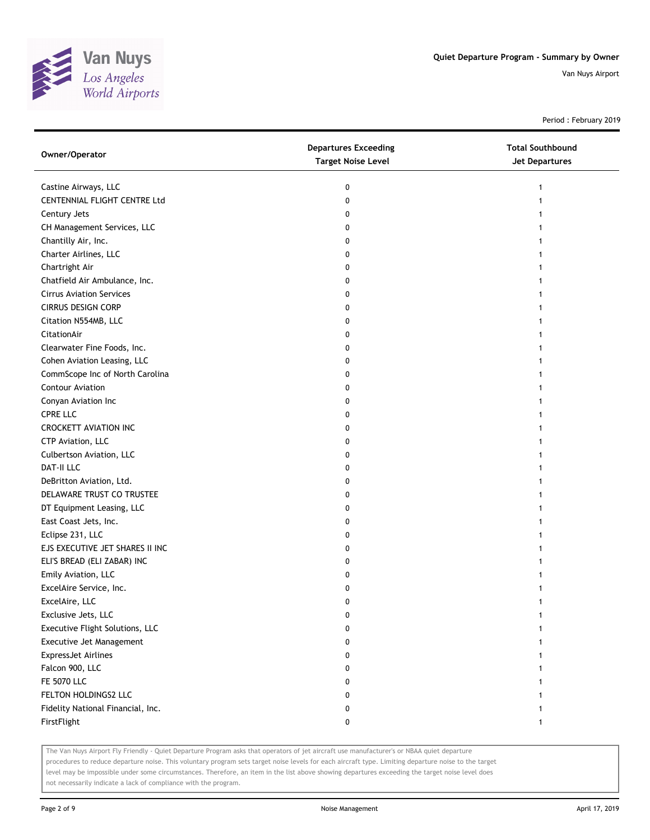

Period : February 2019

| Owner/Operator                    | <b>Departures Exceeding</b><br><b>Target Noise Level</b> | <b>Total Southbound</b><br>Jet Departures |
|-----------------------------------|----------------------------------------------------------|-------------------------------------------|
| Castine Airways, LLC              | 0                                                        | 1                                         |
| CENTENNIAL FLIGHT CENTRE Ltd      | 0                                                        |                                           |
| Century Jets                      | 0                                                        |                                           |
| CH Management Services, LLC       | 0                                                        |                                           |
| Chantilly Air, Inc.               | 0                                                        |                                           |
| Charter Airlines, LLC             | 0                                                        |                                           |
| Chartright Air                    | 0                                                        |                                           |
| Chatfield Air Ambulance, Inc.     | 0                                                        |                                           |
| <b>Cirrus Aviation Services</b>   | 0                                                        | 1                                         |
| <b>CIRRUS DESIGN CORP</b>         | 0                                                        |                                           |
| Citation N554MB, LLC              | 0                                                        |                                           |
| CitationAir                       | 0                                                        |                                           |
| Clearwater Fine Foods, Inc.       | 0                                                        |                                           |
| Cohen Aviation Leasing, LLC       | 0                                                        |                                           |
| CommScope Inc of North Carolina   | 0                                                        |                                           |
| Contour Aviation                  | 0                                                        |                                           |
| Conyan Aviation Inc               | 0                                                        | 1                                         |
| <b>CPRE LLC</b>                   | 0                                                        | 1                                         |
| <b>CROCKETT AVIATION INC</b>      | 0                                                        | 1                                         |
| CTP Aviation, LLC                 | 0                                                        |                                           |
| Culbertson Aviation, LLC          | 0                                                        |                                           |
| DAT-II LLC                        | 0                                                        |                                           |
| DeBritton Aviation, Ltd.          | 0                                                        |                                           |
| DELAWARE TRUST CO TRUSTEE         | 0                                                        | 1                                         |
| DT Equipment Leasing, LLC         | 0                                                        | 1                                         |
| East Coast Jets, Inc.             | 0                                                        | 1                                         |
| Eclipse 231, LLC                  | 0                                                        | 1                                         |
| EJS EXECUTIVE JET SHARES II INC   | 0                                                        | 1                                         |
| ELI'S BREAD (ELI ZABAR) INC       | 0                                                        | 1                                         |
| Emily Aviation, LLC               | 0                                                        |                                           |
| ExcelAire Service, Inc.           | 0                                                        |                                           |
| ExcelAire, LLC                    | 0                                                        |                                           |
| Exclusive Jets, LLC               | 0                                                        |                                           |
| Executive Flight Solutions, LLC   | 0                                                        |                                           |
| Executive Jet Management          | 0                                                        |                                           |
| <b>ExpressJet Airlines</b>        | 0                                                        |                                           |
| Falcon 900, LLC                   | 0                                                        |                                           |
| <b>FE 5070 LLC</b>                | 0                                                        |                                           |
| FELTON HOLDINGS2 LLC              | 0                                                        |                                           |
| Fidelity National Financial, Inc. | 0                                                        | 1                                         |
| FirstFlight                       | 0                                                        | 1                                         |

The Van Nuys Airport Fly Friendly - Quiet Departure Program asks that operators of jet aircraft use manufacturer's or NBAA quiet departure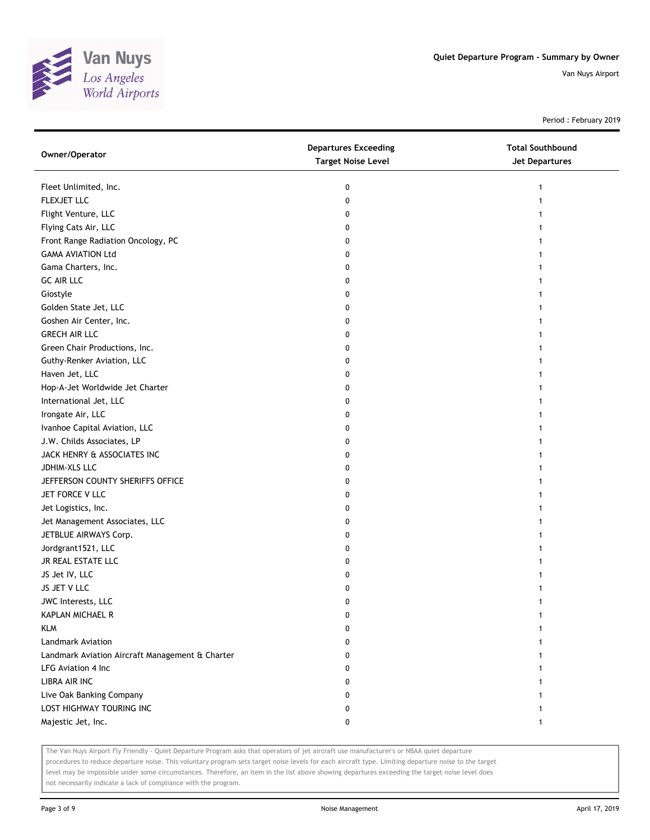

Period : February 2019

| Owner/Operator                                  | <b>Departures Exceeding</b><br><b>Target Noise Level</b> | <b>Total Southbound</b><br><b>Jet Departures</b> |
|-------------------------------------------------|----------------------------------------------------------|--------------------------------------------------|
| Fleet Unlimited, Inc.                           | 0                                                        | 1                                                |
| FLEXJET LLC                                     | 0                                                        |                                                  |
| Flight Venture, LLC                             | 0                                                        |                                                  |
| Flying Cats Air, LLC                            | 0                                                        |                                                  |
| Front Range Radiation Oncology, PC              | 0                                                        |                                                  |
| <b>GAMA AVIATION Ltd</b>                        | 0                                                        |                                                  |
| Gama Charters, Inc.                             | 0                                                        |                                                  |
| <b>GC AIR LLC</b>                               | 0                                                        |                                                  |
| Giostyle                                        | 0                                                        |                                                  |
| Golden State Jet, LLC                           | 0                                                        |                                                  |
| Goshen Air Center, Inc.                         | 0                                                        |                                                  |
| <b>GRECH AIR LLC</b>                            | 0                                                        |                                                  |
| Green Chair Productions, Inc.                   | 0                                                        |                                                  |
| Guthy-Renker Aviation, LLC                      | 0                                                        |                                                  |
| Haven Jet, LLC                                  | 0                                                        |                                                  |
| Hop-A-Jet Worldwide Jet Charter                 | 0                                                        |                                                  |
| International Jet, LLC                          | 0                                                        |                                                  |
| Irongate Air, LLC                               | 0                                                        |                                                  |
| Ivanhoe Capital Aviation, LLC                   | 0                                                        |                                                  |
| J.W. Childs Associates, LP                      | 0                                                        |                                                  |
| JACK HENRY & ASSOCIATES INC                     | 0                                                        |                                                  |
| JDHIM-XLS LLC                                   | 0                                                        |                                                  |
| JEFFERSON COUNTY SHERIFFS OFFICE                | 0                                                        |                                                  |
| JET FORCE V LLC                                 | 0                                                        |                                                  |
| Jet Logistics, Inc.                             | 0                                                        |                                                  |
| Jet Management Associates, LLC                  | 0                                                        |                                                  |
| JETBLUE AIRWAYS Corp.                           | 0                                                        |                                                  |
| Jordgrant1521, LLC                              | 0                                                        |                                                  |
| JR REAL ESTATE LLC                              | 0                                                        |                                                  |
| JS Jet IV, LLC                                  | 0                                                        |                                                  |
| JS JET V LLC                                    | 0                                                        |                                                  |
| JWC Interests, LLC                              | 0                                                        |                                                  |
| KAPLAN MICHAEL R                                | 0                                                        |                                                  |
| <b>KLM</b>                                      | 0                                                        |                                                  |
| <b>Landmark Aviation</b>                        | 0                                                        |                                                  |
| Landmark Aviation Aircraft Management & Charter | 0                                                        |                                                  |
| LFG Aviation 4 Inc                              | 0                                                        |                                                  |
| <b>LIBRA AIR INC</b>                            | 0                                                        |                                                  |
| Live Oak Banking Company                        | 0                                                        |                                                  |
| LOST HIGHWAY TOURING INC                        | 0                                                        |                                                  |
| Majestic Jet, Inc.                              | 0                                                        | 1                                                |

The Van Nuys Airport Fly Friendly - Quiet Departure Program asks that operators of jet aircraft use manufacturer's or NBAA quiet departure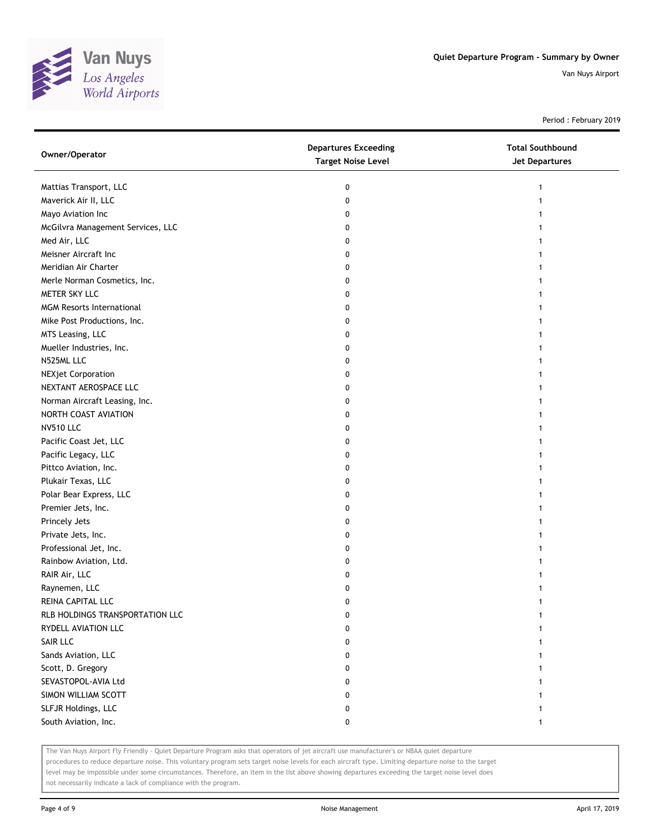

Period : February 2019

| Owner/Operator                    | <b>Departures Exceeding</b><br><b>Target Noise Level</b> | <b>Total Southbound</b><br><b>Jet Departures</b> |
|-----------------------------------|----------------------------------------------------------|--------------------------------------------------|
| Mattias Transport, LLC            | 0                                                        | 1                                                |
| Maverick Air II, LLC              | 0                                                        |                                                  |
| Mayo Aviation Inc                 | 0                                                        |                                                  |
| McGilvra Management Services, LLC | 0                                                        |                                                  |
| Med Air, LLC                      | 0                                                        |                                                  |
| Meisner Aircraft Inc              | 0                                                        |                                                  |
| Meridian Air Charter              | 0                                                        |                                                  |
| Merle Norman Cosmetics, Inc.      | 0                                                        |                                                  |
| METER SKY LLC                     | 0                                                        | 1                                                |
| <b>MGM Resorts International</b>  | 0                                                        |                                                  |
| Mike Post Productions, Inc.       | 0                                                        |                                                  |
| MTS Leasing, LLC                  | 0                                                        |                                                  |
| Mueller Industries, Inc.          | 0                                                        |                                                  |
| N525ML LLC                        | 0                                                        |                                                  |
| <b>NEXjet Corporation</b>         | 0                                                        |                                                  |
| NEXTANT AEROSPACE LLC             | 0                                                        |                                                  |
| Norman Aircraft Leasing, Inc.     | 0                                                        |                                                  |
| NORTH COAST AVIATION              | 0                                                        |                                                  |
| <b>NV510 LLC</b>                  | 0                                                        |                                                  |
| Pacific Coast Jet, LLC            | 0                                                        |                                                  |
| Pacific Legacy, LLC               | 0                                                        |                                                  |
| Pittco Aviation, Inc.             | 0                                                        |                                                  |
| Plukair Texas, LLC                | 0                                                        |                                                  |
| Polar Bear Express, LLC           | 0                                                        |                                                  |
| Premier Jets, Inc.                | 0                                                        |                                                  |
| Princely Jets                     | 0                                                        |                                                  |
| Private Jets, Inc.                | 0                                                        |                                                  |
| Professional Jet, Inc.            | 0                                                        |                                                  |
| Rainbow Aviation, Ltd.            | 0                                                        |                                                  |
| RAIR Air, LLC                     | 0                                                        |                                                  |
| Raynemen, LLC                     | 0                                                        |                                                  |
| REINA CAPITAL LLC                 | 0                                                        |                                                  |
| RLB HOLDINGS TRANSPORTATION LLC   | 0                                                        |                                                  |
| RYDELL AVIATION LLC               | 0                                                        |                                                  |
| SAIR LLC                          | 0                                                        |                                                  |
| Sands Aviation, LLC               | 0                                                        |                                                  |
| Scott, D. Gregory                 | 0                                                        |                                                  |
| SEVASTOPOL-AVIA Ltd               | 0                                                        |                                                  |
| SIMON WILLIAM SCOTT               | 0                                                        |                                                  |
| SLFJR Holdings, LLC               | 0                                                        |                                                  |
| South Aviation, Inc.              | 0                                                        | 1                                                |

The Van Nuys Airport Fly Friendly - Quiet Departure Program asks that operators of jet aircraft use manufacturer's or NBAA quiet departure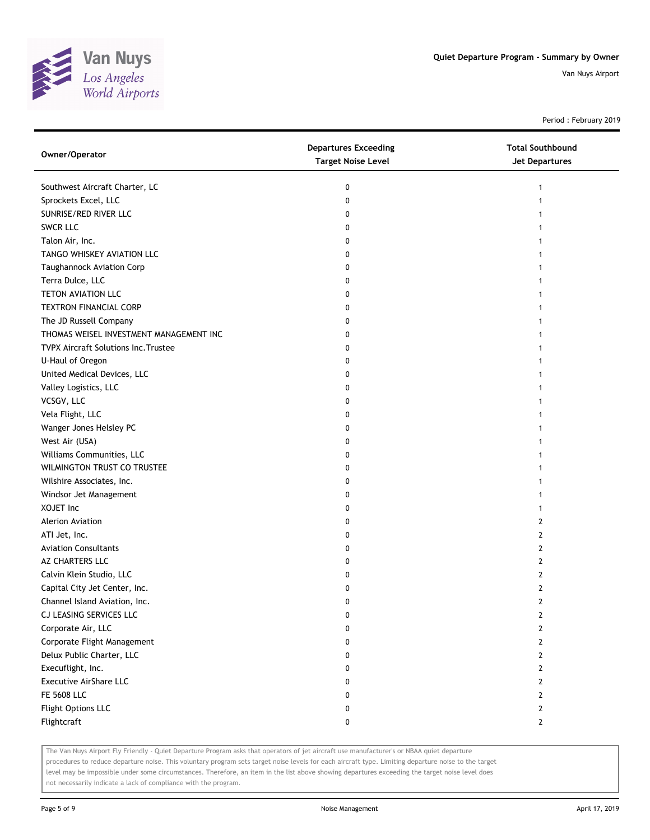

Period : February 2019

| Owner/Operator                              | <b>Departures Exceeding</b><br><b>Target Noise Level</b> | <b>Total Southbound</b><br><b>Jet Departures</b> |
|---------------------------------------------|----------------------------------------------------------|--------------------------------------------------|
| Southwest Aircraft Charter, LC              | 0                                                        |                                                  |
| Sprockets Excel, LLC                        | 0                                                        |                                                  |
| SUNRISE/RED RIVER LLC                       | 0                                                        |                                                  |
| <b>SWCR LLC</b>                             | 0                                                        |                                                  |
| Talon Air, Inc.                             | 0                                                        |                                                  |
| TANGO WHISKEY AVIATION LLC                  | 0                                                        |                                                  |
| Taughannock Aviation Corp                   | 0                                                        |                                                  |
| Terra Dulce, LLC                            | 0                                                        |                                                  |
| TETON AVIATION LLC                          | 0                                                        |                                                  |
| TEXTRON FINANCIAL CORP                      | 0                                                        |                                                  |
| The JD Russell Company                      | 0                                                        |                                                  |
| THOMAS WEISEL INVESTMENT MANAGEMENT INC     | 0                                                        |                                                  |
| <b>TVPX Aircraft Solutions Inc. Trustee</b> | 0                                                        |                                                  |
| U-Haul of Oregon                            | 0                                                        |                                                  |
| United Medical Devices, LLC                 | 0                                                        |                                                  |
| Valley Logistics, LLC                       | 0                                                        |                                                  |
| VCSGV, LLC                                  | 0                                                        |                                                  |
| Vela Flight, LLC                            | 0                                                        |                                                  |
| Wanger Jones Helsley PC                     | 0                                                        |                                                  |
| West Air (USA)                              | 0                                                        |                                                  |
| Williams Communities, LLC                   | 0                                                        |                                                  |
| WILMINGTON TRUST CO TRUSTEE                 | 0                                                        |                                                  |
| Wilshire Associates, Inc.                   | 0                                                        |                                                  |
| Windsor Jet Management                      | 0                                                        |                                                  |
| XOJET Inc                                   | 0                                                        |                                                  |
| <b>Alerion Aviation</b>                     | 0                                                        | 2                                                |
| ATI Jet, Inc.                               | 0                                                        | 2                                                |
| <b>Aviation Consultants</b>                 | 0                                                        | 2                                                |
| AZ CHARTERS LLC                             | 0                                                        | 2                                                |
| Calvin Klein Studio, LLC                    | 0                                                        | 2                                                |
| Capital City Jet Center, Inc.               | 0                                                        | 2                                                |
| Channel Island Aviation, Inc.               | 0                                                        | 2                                                |
| CJ LEASING SERVICES LLC                     | U                                                        | $\mathcal{L}_{\mathcal{L}}$                      |
| Corporate Air, LLC                          | 0                                                        | 2                                                |
| Corporate Flight Management                 | 0                                                        | 2                                                |
| Delux Public Charter, LLC                   | 0                                                        | 2                                                |
| Execuflight, Inc.                           | 0                                                        | 2                                                |
| Executive AirShare LLC                      | 0                                                        | 2                                                |
| <b>FE 5608 LLC</b>                          | 0                                                        | 2                                                |
| Flight Options LLC                          | 0                                                        | 2                                                |
| Flightcraft                                 | 0                                                        | $\mathbf{2}$                                     |

The Van Nuys Airport Fly Friendly - Quiet Departure Program asks that operators of jet aircraft use manufacturer's or NBAA quiet departure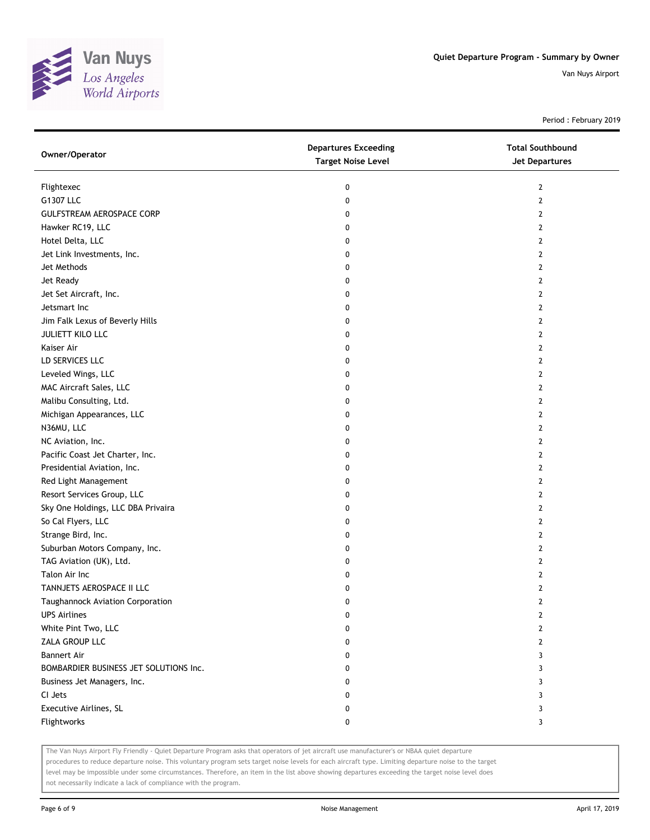

Period : February 2019

| Owner/Operator                         | <b>Departures Exceeding</b><br><b>Target Noise Level</b> | <b>Total Southbound</b><br><b>Jet Departures</b> |
|----------------------------------------|----------------------------------------------------------|--------------------------------------------------|
| Flightexec                             | 0                                                        | $\mathbf{2}$                                     |
| G1307 LLC                              | 0                                                        | $\mathbf{2}$                                     |
| <b>GULFSTREAM AEROSPACE CORP</b>       | 0                                                        | 2                                                |
| Hawker RC19, LLC                       | 0                                                        | $\overline{2}$                                   |
| Hotel Delta, LLC                       | 0                                                        | $\overline{2}$                                   |
| Jet Link Investments, Inc.             | 0                                                        | $\overline{2}$                                   |
| Jet Methods                            | 0                                                        | $\mathbf{2}$                                     |
| Jet Ready                              | 0                                                        | 2                                                |
| Jet Set Aircraft, Inc.                 | 0                                                        | $\overline{2}$                                   |
| Jetsmart Inc                           | 0                                                        | $\overline{2}$                                   |
| Jim Falk Lexus of Beverly Hills        | 0                                                        | $\mathbf{2}$                                     |
| JULIETT KILO LLC                       | 0                                                        | $\overline{2}$                                   |
| Kaiser Air                             | 0                                                        | $\mathbf{2}$                                     |
| LD SERVICES LLC                        | 0                                                        | $\mathbf{2}$                                     |
| Leveled Wings, LLC                     | 0                                                        | $\mathbf{2}$                                     |
| MAC Aircraft Sales, LLC                | 0                                                        | 2                                                |
| Malibu Consulting, Ltd.                | 0                                                        | $\mathbf{2}$                                     |
| Michigan Appearances, LLC              | 0                                                        | $\mathbf{2}$                                     |
| N36MU, LLC                             | 0                                                        | 2                                                |
| NC Aviation, Inc.                      | 0                                                        | 2                                                |
| Pacific Coast Jet Charter, Inc.        | 0                                                        | 2                                                |
| Presidential Aviation, Inc.            | 0                                                        | 2                                                |
| Red Light Management                   | 0                                                        | $\overline{2}$                                   |
| Resort Services Group, LLC             | 0                                                        | $\overline{2}$                                   |
| Sky One Holdings, LLC DBA Privaira     | 0                                                        | $\overline{2}$                                   |
| So Cal Flyers, LLC                     | 0                                                        | $\mathbf{2}$                                     |
| Strange Bird, Inc.                     | 0                                                        | $\overline{2}$                                   |
| Suburban Motors Company, Inc.          | 0                                                        | 2                                                |
| TAG Aviation (UK), Ltd.                | 0                                                        | $\mathbf{2}$                                     |
| Talon Air Inc                          | 0                                                        | $\overline{2}$                                   |
| TANNJETS AEROSPACE II LLC              | 0                                                        | 2                                                |
| Taughannock Aviation Corporation       | 0                                                        | $\mathbf{2}$                                     |
| <b>UPS Airlines</b>                    | U                                                        | L                                                |
| White Pint Two, LLC                    | 0                                                        | 2                                                |
| ZALA GROUP LLC                         | 0                                                        | 2                                                |
| <b>Bannert Air</b>                     | 0                                                        | 3                                                |
| BOMBARDIER BUSINESS JET SOLUTIONS Inc. | 0                                                        | 3                                                |
| Business Jet Managers, Inc.            | 0                                                        | 3                                                |
| CI Jets                                | 0                                                        | 3                                                |
| Executive Airlines, SL                 | 0                                                        | 3                                                |
| Flightworks                            | 0                                                        | 3                                                |

The Van Nuys Airport Fly Friendly - Quiet Departure Program asks that operators of jet aircraft use manufacturer's or NBAA quiet departure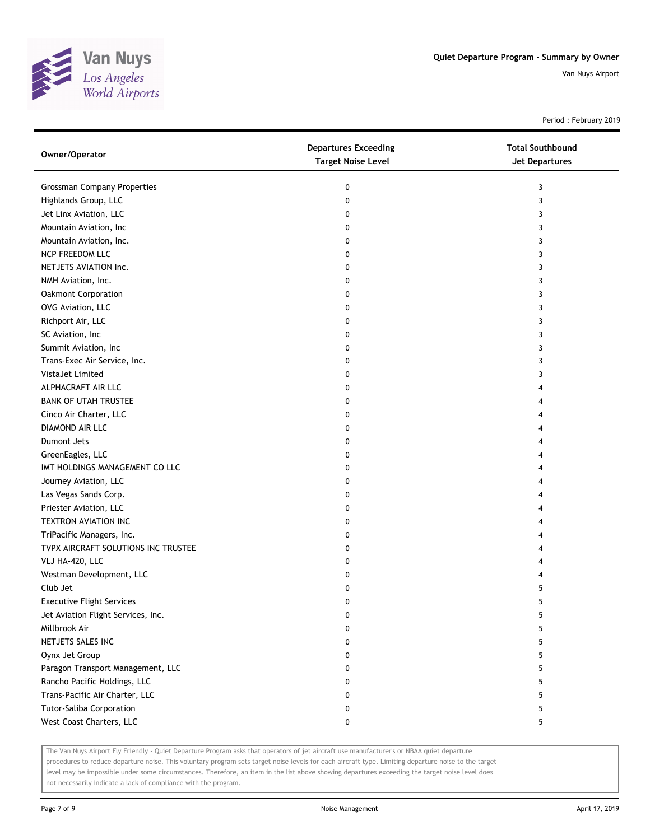

Period : February 2019

| Owner/Operator                      | <b>Departures Exceeding</b><br><b>Target Noise Level</b> | <b>Total Southbound</b><br>Jet Departures |
|-------------------------------------|----------------------------------------------------------|-------------------------------------------|
| <b>Grossman Company Properties</b>  | 0                                                        | 3                                         |
| Highlands Group, LLC                | 0                                                        | 3                                         |
| Jet Linx Aviation, LLC              | 0                                                        | 3                                         |
| Mountain Aviation, Inc              | 0                                                        | 3                                         |
| Mountain Aviation, Inc.             | 0                                                        | 3                                         |
| NCP FREEDOM LLC                     | 0                                                        | 3                                         |
| NETJETS AVIATION Inc.               | 0                                                        | 3                                         |
| NMH Aviation, Inc.                  | 0                                                        | 3                                         |
| <b>Oakmont Corporation</b>          | 0                                                        | 3                                         |
| OVG Aviation, LLC                   | 0                                                        | 3                                         |
| Richport Air, LLC                   | 0                                                        | 3                                         |
| SC Aviation, Inc                    | 0                                                        | 3                                         |
| Summit Aviation, Inc                | 0                                                        | 3                                         |
| Trans-Exec Air Service, Inc.        | 0                                                        | 3                                         |
| VistaJet Limited                    | 0                                                        | 3                                         |
| ALPHACRAFT AIR LLC                  | 0                                                        | 4                                         |
| <b>BANK OF UTAH TRUSTEE</b>         | 0                                                        | 4                                         |
| Cinco Air Charter, LLC              | 0                                                        | 4                                         |
| DIAMOND AIR LLC                     | 0                                                        |                                           |
| <b>Dumont Jets</b>                  | 0                                                        |                                           |
| GreenEagles, LLC                    | 0                                                        |                                           |
| IMT HOLDINGS MANAGEMENT CO LLC      | 0                                                        |                                           |
| Journey Aviation, LLC               | 0                                                        |                                           |
| Las Vegas Sands Corp.               | 0                                                        |                                           |
| Priester Aviation, LLC              | 0                                                        |                                           |
| TEXTRON AVIATION INC                | 0                                                        |                                           |
| TriPacific Managers, Inc.           | 0                                                        |                                           |
| TVPX AIRCRAFT SOLUTIONS INC TRUSTEE | 0                                                        |                                           |
| VLJ HA-420, LLC                     | 0                                                        |                                           |
| Westman Development, LLC            | 0                                                        |                                           |
| Club Jet                            | 0                                                        | 5                                         |
| <b>Executive Flight Services</b>    | 0                                                        | 5                                         |
| Jet Aviation Flight Services, Inc.  | 0                                                        | 5                                         |
| Millbrook Air                       | 0                                                        | 5                                         |
| NETJETS SALES INC                   | 0                                                        | 5                                         |
| Oynx Jet Group                      | 0                                                        | 5                                         |
| Paragon Transport Management, LLC   | 0                                                        | 5                                         |
| Rancho Pacific Holdings, LLC        | 0                                                        | 5                                         |
| Trans-Pacific Air Charter, LLC      | 0                                                        | 5                                         |
| Tutor-Saliba Corporation            | 0                                                        | 5                                         |
| West Coast Charters, LLC            | 0                                                        | 5                                         |

The Van Nuys Airport Fly Friendly - Quiet Departure Program asks that operators of jet aircraft use manufacturer's or NBAA quiet departure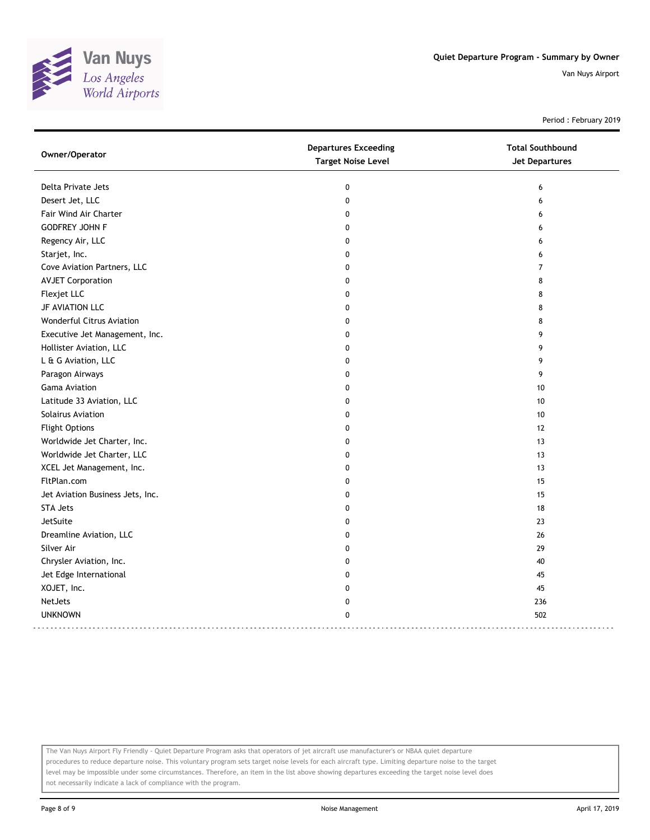

Period : February 2019

| Owner/Operator                   | <b>Departures Exceeding</b><br><b>Target Noise Level</b> | <b>Total Southbound</b><br><b>Jet Departures</b> |
|----------------------------------|----------------------------------------------------------|--------------------------------------------------|
| Delta Private Jets               | 0                                                        | 6                                                |
| Desert Jet, LLC                  | $\pmb{0}$                                                | 6                                                |
| Fair Wind Air Charter            | 0                                                        | 6                                                |
| <b>GODFREY JOHN F</b>            | 0                                                        | 6                                                |
| Regency Air, LLC                 | $\mathbf 0$                                              | 6                                                |
| Starjet, Inc.                    | 0                                                        | 6                                                |
| Cove Aviation Partners, LLC      | $\mathbf 0$                                              | $\overline{7}$                                   |
| <b>AVJET Corporation</b>         | $\Omega$                                                 | 8                                                |
| Flexjet LLC                      | $\mathbf 0$                                              | 8                                                |
| JF AVIATION LLC                  | $\mathbf 0$                                              | 8                                                |
| Wonderful Citrus Aviation        | $\mathbf 0$                                              | 8                                                |
| Executive Jet Management, Inc.   | 0                                                        | 9                                                |
| Hollister Aviation, LLC          | $\mathbf{0}$                                             | 9                                                |
| L & G Aviation, LLC              | $\mathbf{0}$                                             | 9                                                |
| Paragon Airways                  | 0                                                        | 9                                                |
| <b>Gama Aviation</b>             | $\mathbf 0$                                              | 10                                               |
| Latitude 33 Aviation, LLC        | $\mathbf 0$                                              | 10                                               |
| Solairus Aviation                | $\Omega$                                                 | 10                                               |
| <b>Flight Options</b>            | $\Omega$                                                 | 12                                               |
| Worldwide Jet Charter, Inc.      | $\Omega$                                                 | 13                                               |
| Worldwide Jet Charter, LLC       | $\mathbf 0$                                              | 13                                               |
| XCEL Jet Management, Inc.        | $\mathbf 0$                                              | 13                                               |
| FltPlan.com                      | $\mathbf 0$                                              | 15                                               |
| Jet Aviation Business Jets, Inc. | $\mathbf{0}$                                             | 15                                               |
| <b>STA Jets</b>                  | $\mathbf{0}$                                             | 18                                               |
| <b>JetSuite</b>                  | $\Omega$                                                 | 23                                               |
| Dreamline Aviation, LLC          | $\mathbf 0$                                              | 26                                               |
| Silver Air                       | $\mathbf 0$                                              | 29                                               |
| Chrysler Aviation, Inc.          | $\mathbf 0$                                              | 40                                               |
| Jet Edge International           | 0                                                        | 45                                               |
| XOJET, Inc.                      | $\Omega$                                                 | 45                                               |
| <b>NetJets</b>                   | $\mathbf 0$                                              | 236                                              |
| <b>UNKNOWN</b>                   | $\mathbf 0$                                              | 502                                              |

The Van Nuys Airport Fly Friendly - Quiet Departure Program asks that operators of jet aircraft use manufacturer's or NBAA quiet departure